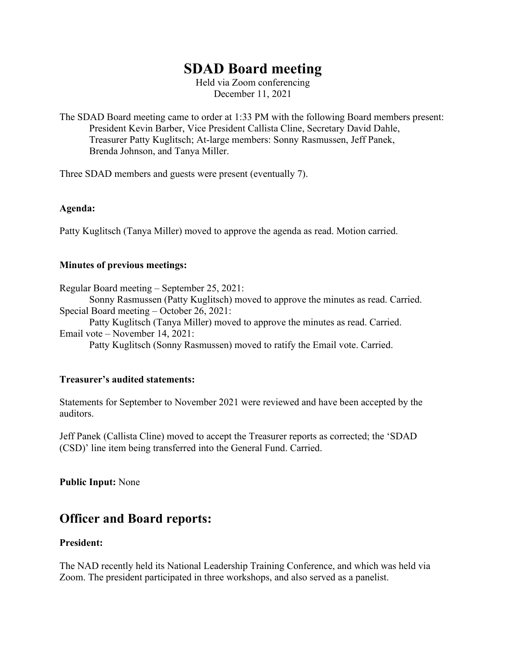# **SDAD Board meeting**

Held via Zoom conferencing December 11, 2021

The SDAD Board meeting came to order at 1:33 PM with the following Board members present: President Kevin Barber, Vice President Callista Cline, Secretary David Dahle, Treasurer Patty Kuglitsch; At-large members: Sonny Rasmussen, Jeff Panek, Brenda Johnson, and Tanya Miller.

Three SDAD members and guests were present (eventually 7).

### **Agenda:**

Patty Kuglitsch (Tanya Miller) moved to approve the agenda as read. Motion carried.

#### **Minutes of previous meetings:**

Regular Board meeting – September 25, 2021:

Sonny Rasmussen (Patty Kuglitsch) moved to approve the minutes as read. Carried. Special Board meeting – October 26, 2021:

Patty Kuglitsch (Tanya Miller) moved to approve the minutes as read. Carried. Email vote – November 14, 2021:

Patty Kuglitsch (Sonny Rasmussen) moved to ratify the Email vote. Carried.

#### **Treasurer's audited statements:**

Statements for September to November 2021 were reviewed and have been accepted by the auditors.

Jeff Panek (Callista Cline) moved to accept the Treasurer reports as corrected; the 'SDAD (CSD)' line item being transferred into the General Fund. Carried.

**Public Input:** None

# **Officer and Board reports:**

### **President:**

The NAD recently held its National Leadership Training Conference, and which was held via Zoom. The president participated in three workshops, and also served as a panelist.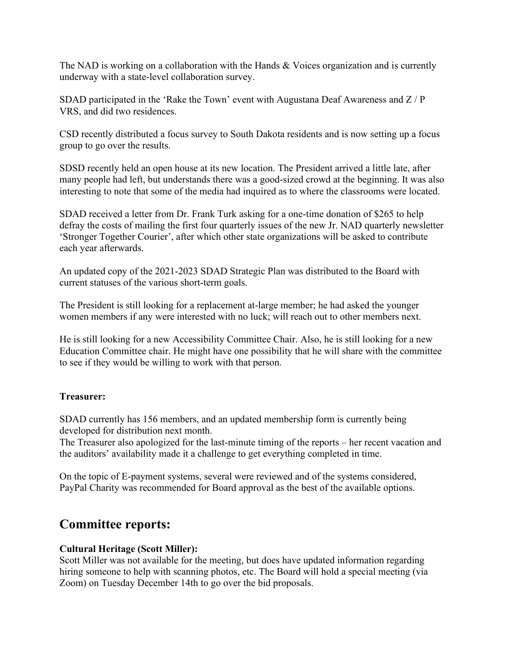The NAD is working on a collaboration with the Hands & Voices organization and is currently underway with a state-level collaboration survey.

SDAD participated in the 'Rake the Town' event with Augustana Deaf Awareness and  $Z/P$ VRS, and did two residences.

CSD recently distributed a focus survey to South Dakota residents and is now setting up a focus group to go over the results.

SDSD recently held an open house at its new location. The President arrived a little late, after many people had left, but understands there was a good-sized crowd at the beginning. It was also interesting to note that some of the media had inquired as to where the classrooms were located.

SDAD received a letter from Dr. Frank Turk asking for a one-time donation of \$265 to help defray the costs of mailing the first four quarterly issues of the new Jr. NAD quarterly newsletter 'Stronger Together Courier', after which other state organizations will be asked to contribute each year afterwards.

An updated copy of the 2021-2023 SDAD Strategic Plan was distributed to the Board with current statuses of the various short-term goals.

The President is still looking for a replacement at-large member; he had asked the younger women members if any were interested with no luck; will reach out to other members next.

He is still looking for a new Accessibility Committee Chair. Also, he is still looking for a new Education Committee chair. He might have one possibility that he will share with the committee to see if they would be willing to work with that person.

# **Treasurer:**

SDAD currently has 156 members, and an updated membership form is currently being developed for distribution next month.

The Treasurer also apologized for the last-minute timing of the reports – her recent vacation and the auditors' availability made it a challenge to get everything completed in time.

On the topic of E-payment systems, several were reviewed and of the systems considered, PayPal Charity was recommended for Board approval as the best of the available options.

# **Committee reports:**

# **Cultural Heritage (Scott Miller):**

Scott Miller was not available for the meeting, but does have updated information regarding hiring someone to help with scanning photos, etc. The Board will hold a special meeting (via Zoom) on Tuesday December 14th to go over the bid proposals.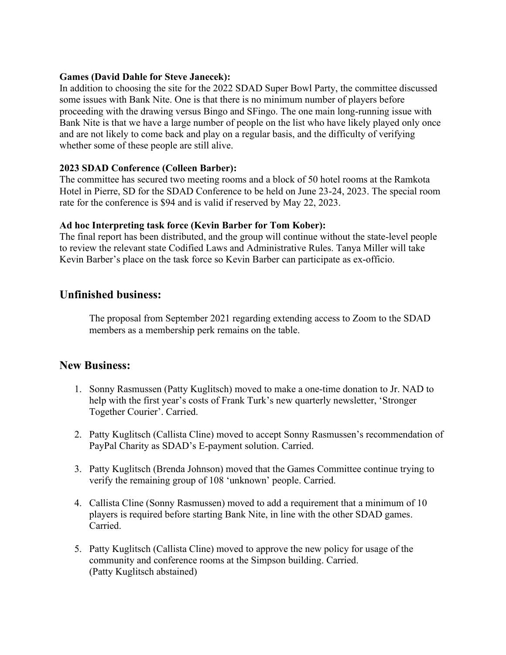### **Games (David Dahle for Steve Janecek):**

In addition to choosing the site for the 2022 SDAD Super Bowl Party, the committee discussed some issues with Bank Nite. One is that there is no minimum number of players before proceeding with the drawing versus Bingo and SFingo. The one main long-running issue with Bank Nite is that we have a large number of people on the list who have likely played only once and are not likely to come back and play on a regular basis, and the difficulty of verifying whether some of these people are still alive.

# **2023 SDAD Conference (Colleen Barber):**

The committee has secured two meeting rooms and a block of 50 hotel rooms at the Ramkota Hotel in Pierre, SD for the SDAD Conference to be held on June 23-24, 2023. The special room rate for the conference is \$94 and is valid if reserved by May 22, 2023.

### **Ad hoc Interpreting task force (Kevin Barber for Tom Kober):**

The final report has been distributed, and the group will continue without the state-level people to review the relevant state Codified Laws and Administrative Rules. Tanya Miller will take Kevin Barber's place on the task force so Kevin Barber can participate as ex-officio.

# **Unfinished business:**

The proposal from September 2021 regarding extending access to Zoom to the SDAD members as a membership perk remains on the table.

# **New Business:**

- 1. Sonny Rasmussen (Patty Kuglitsch) moved to make a one-time donation to Jr. NAD to help with the first year's costs of Frank Turk's new quarterly newsletter, 'Stronger Together Courier'. Carried.
- 2. Patty Kuglitsch (Callista Cline) moved to accept Sonny Rasmussen's recommendation of PayPal Charity as SDAD's E-payment solution. Carried.
- 3. Patty Kuglitsch (Brenda Johnson) moved that the Games Committee continue trying to verify the remaining group of 108 'unknown' people. Carried.
- 4. Callista Cline (Sonny Rasmussen) moved to add a requirement that a minimum of 10 players is required before starting Bank Nite, in line with the other SDAD games. Carried.
- 5. Patty Kuglitsch (Callista Cline) moved to approve the new policy for usage of the community and conference rooms at the Simpson building. Carried. (Patty Kuglitsch abstained)